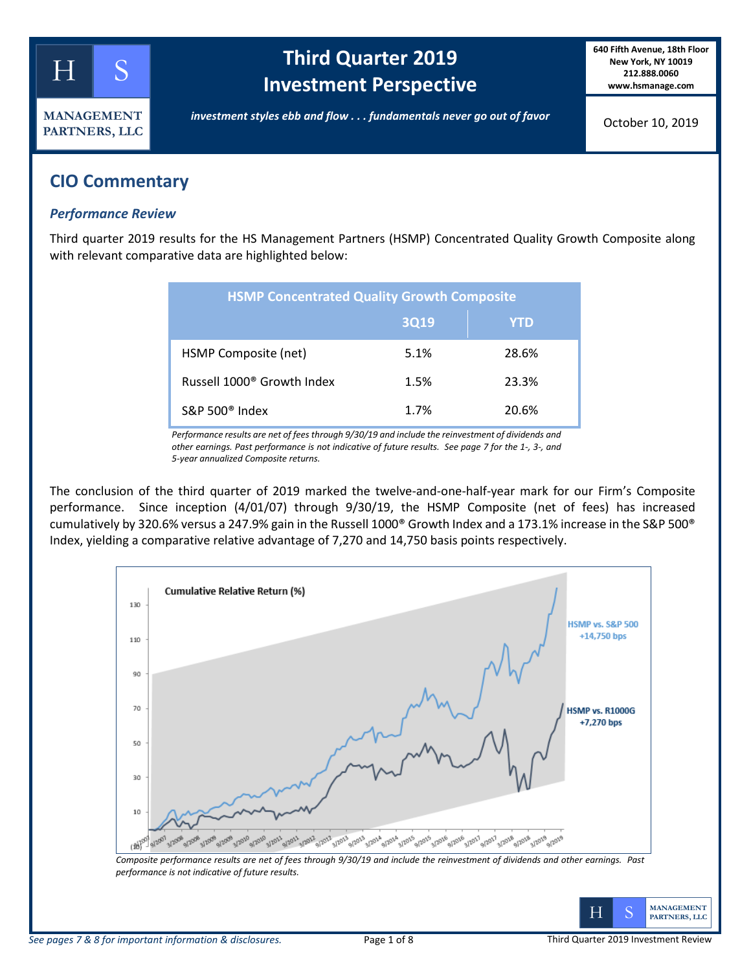

# **Third Quarter 2019 Investment Perspective**

**640 Fifth Avenue, 18th Floor New York, NY 10019 212.888.0060 www.hsmanage.com**

October 10, 2019

## **CIO Commentary**

### *Performance Review*

Third quarter 2019 results for the HS Management Partners (HSMP) Concentrated Quality Growth Composite along with relevant comparative data are highlighted below:

| <b>HSMP Concentrated Quality Growth Composite</b> |      |       |  |  |  |  |
|---------------------------------------------------|------|-------|--|--|--|--|
|                                                   | 3Q19 | YTD   |  |  |  |  |
| HSMP Composite (net)                              | 5.1% | 28.6% |  |  |  |  |
| Russell 1000 <sup>®</sup> Growth Index            | 1.5% | 23.3% |  |  |  |  |
| S&P 500 <sup>®</sup> Index                        | 1.7% | 20.6% |  |  |  |  |

*Performance results are net of fees through 9/30/19 and include the reinvestment of dividends and other earnings. Past performance is not indicative of future results. See page 7 for the 1-, 3-, and 5-year annualized Composite returns.*

The conclusion of the third quarter of 2019 marked the twelve-and-one-half-year mark for our Firm's Composite performance. Since inception (4/01/07) through 9/30/19, the HSMP Composite (net of fees) has increased cumulatively by 320.6% versus a 247.9% gain in the Russell 1000® Growth Index and a 173.1% increase in the S&P 500® Index, yielding a comparative relative advantage of 7,270 and 14,750 basis points respectively.



*performance is not indicative of future results.* 

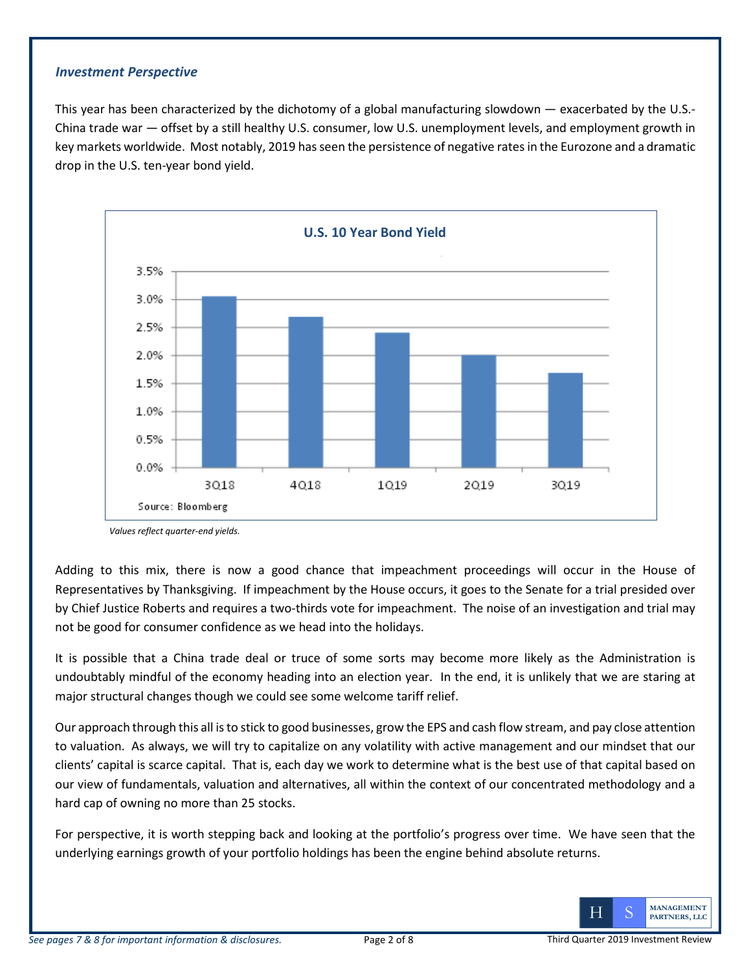### *Investment Perspective*

This year has been characterized by the dichotomy of a global manufacturing slowdown — exacerbated by the U.S.- China trade war — offset by a still healthy U.S. consumer, low U.S. unemployment levels, and employment growth in key markets worldwide. Most notably, 2019 has seen the persistence of negative rates in the Eurozone and a dramatic drop in the U.S. ten-year bond yield.



*Values reflect quarter-end yields.*

Adding to this mix, there is now a good chance that impeachment proceedings will occur in the House of Representatives by Thanksgiving. If impeachment by the House occurs, it goes to the Senate for a trial presided over by Chief Justice Roberts and requires a two-thirds vote for impeachment. The noise of an investigation and trial may not be good for consumer confidence as we head into the holidays.

It is possible that a China trade deal or truce of some sorts may become more likely as the Administration is undoubtably mindful of the economy heading into an election year. In the end, it is unlikely that we are staring at major structural changes though we could see some welcome tariff relief.

Our approach through this all is to stick to good businesses, grow the EPS and cash flow stream, and pay close attention to valuation. As always, we will try to capitalize on any volatility with active management and our mindset that our clients' capital is scarce capital. That is, each day we work to determine what is the best use of that capital based on our view of fundamentals, valuation and alternatives, all within the context of our concentrated methodology and a hard cap of owning no more than 25 stocks.

For perspective, it is worth stepping back and looking at the portfolio's progress over time. We have seen that the underlying earnings growth of your portfolio holdings has been the engine behind absolute returns.

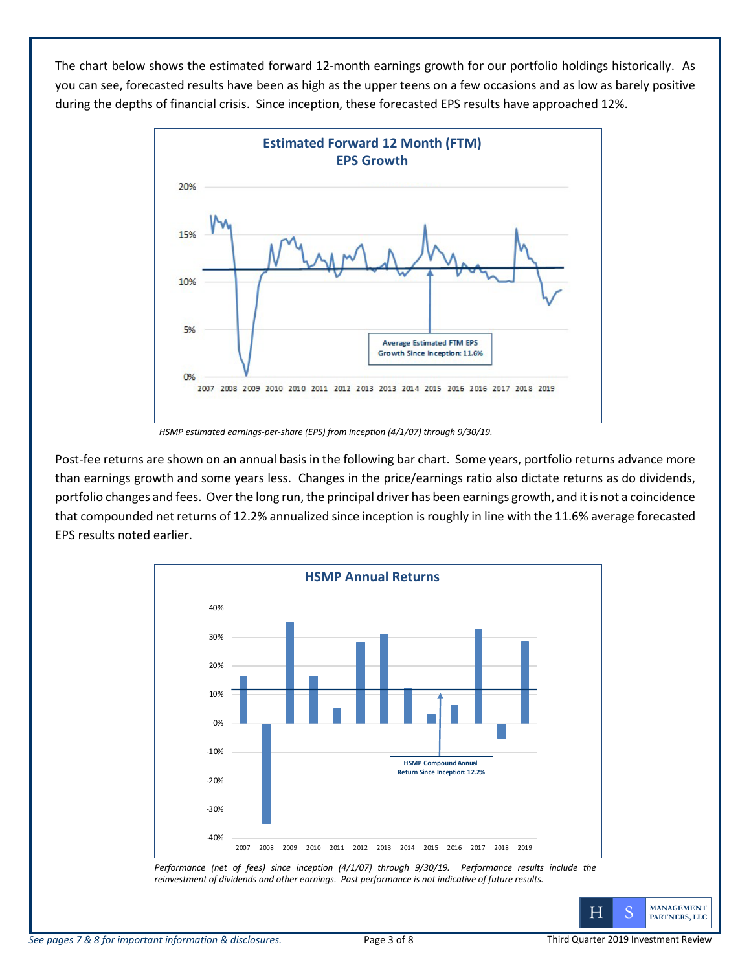The chart below shows the estimated forward 12-month earnings growth for our portfolio holdings historically. As you can see, forecasted results have been as high as the upper teens on a few occasions and as low as barely positive during the depths of financial crisis. Since inception, these forecasted EPS results have approached 12%.



*HSMP estimated earnings-per-share (EPS) from inception (4/1/07) through 9/30/19.*

Post-fee returns are shown on an annual basis in the following bar chart. Some years, portfolio returns advance more than earnings growth and some years less. Changes in the price/earnings ratio also dictate returns as do dividends, portfolio changes and fees. Over the long run, the principal driver has been earnings growth, and it is not a coincidence that compounded net returns of 12.2% annualized since inception is roughly in line with the 11.6% average forecasted EPS results noted earlier.



*Performance (net of fees) since inception (4/1/07) through 9/30/19. Performance results include the reinvestment of dividends and other earnings. Past performance is not indicative of future results.*

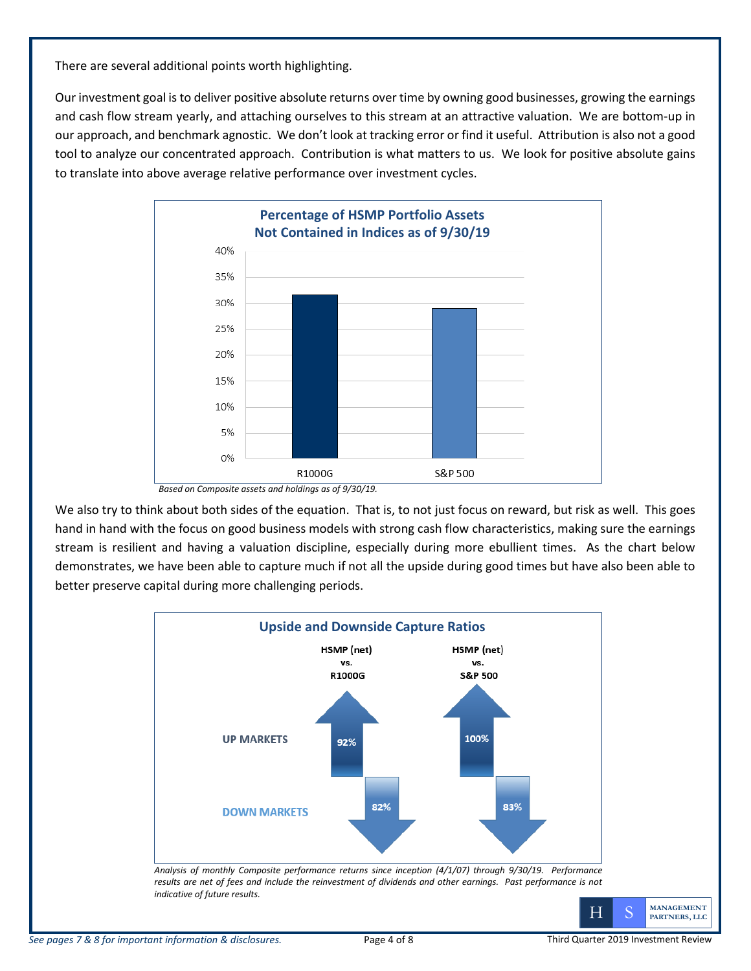There are several additional points worth highlighting.

Our investment goal is to deliver positive absolute returns over time by owning good businesses, growing the earnings and cash flow stream yearly, and attaching ourselves to this stream at an attractive valuation. We are bottom-up in our approach, and benchmark agnostic. We don't look at tracking error or find it useful. Attribution is also not a good tool to analyze our concentrated approach. Contribution is what matters to us. We look for positive absolute gains to translate into above average relative performance over investment cycles.



*Based on Composite assets and holdings as of 9/30/19.*

We also try to think about both sides of the equation. That is, to not just focus on reward, but risk as well. This goes hand in hand with the focus on good business models with strong cash flow characteristics, making sure the earnings stream is resilient and having a valuation discipline, especially during more ebullient times. As the chart below demonstrates, we have been able to capture much if not all the upside during good times but have also been able to better preserve capital during more challenging periods.



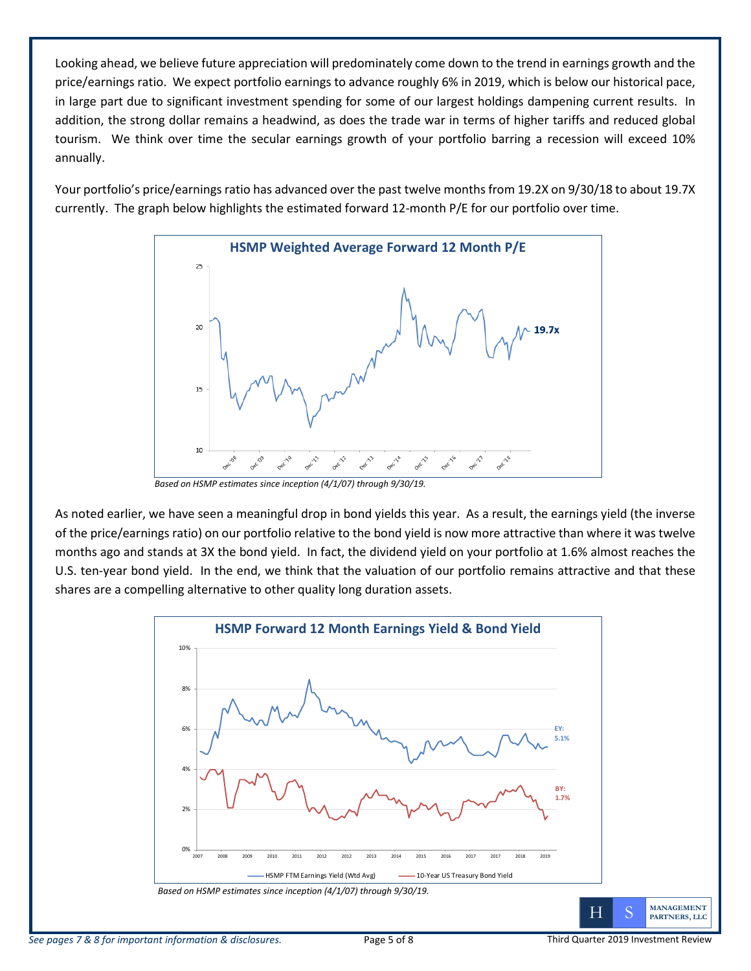Looking ahead, we believe future appreciation will predominately come down to the trend in earnings growth and the price/earnings ratio. We expect portfolio earnings to advance roughly 6% in 2019, which is below our historical pace, in large part due to significant investment spending for some of our largest holdings dampening current results. In addition, the strong dollar remains a headwind, as does the trade war in terms of higher tariffs and reduced global tourism. We think over time the secular earnings growth of your portfolio barring a recession will exceed 10% annually.

Your portfolio's price/earnings ratio has advanced over the past twelve months from 19.2X on 9/30/18 to about 19.7X currently. The graph below highlights the estimated forward 12-month P/E for our portfolio over time.



*Based on HSMP estimates since inception (4/1/07) through 9/30/19.*

As noted earlier, we have seen a meaningful drop in bond yields this year. As a result, the earnings yield (the inverse of the price/earnings ratio) on our portfolio relative to the bond yield is now more attractive than where it was twelve months ago and stands at 3X the bond yield. In fact, the dividend yield on your portfolio at 1.6% almost reaches the U.S. ten-year bond yield. In the end, we think that the valuation of our portfolio remains attractive and that these shares are a compelling alternative to other quality long duration assets.

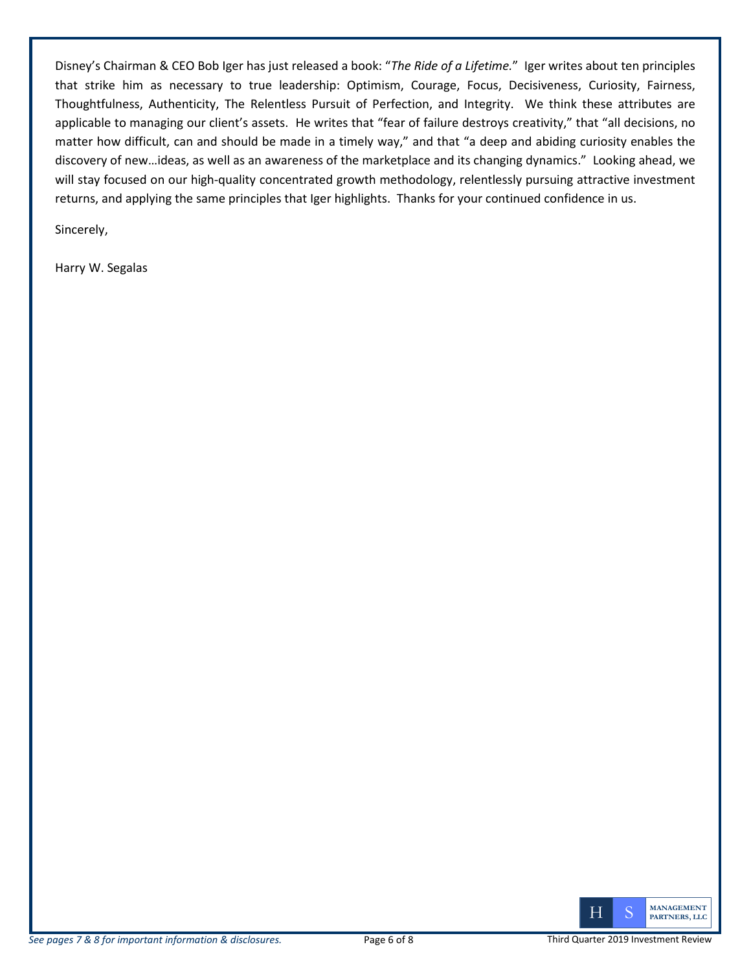Disney's Chairman & CEO Bob Iger has just released a book: "*The Ride of a Lifetime.*" Iger writes about ten principles that strike him as necessary to true leadership: Optimism, Courage, Focus, Decisiveness, Curiosity, Fairness, Thoughtfulness, Authenticity, The Relentless Pursuit of Perfection, and Integrity. We think these attributes are applicable to managing our client's assets. He writes that "fear of failure destroys creativity," that "all decisions, no matter how difficult, can and should be made in a timely way," and that "a deep and abiding curiosity enables the discovery of new…ideas, as well as an awareness of the marketplace and its changing dynamics." Looking ahead, we will stay focused on our high-quality concentrated growth methodology, relentlessly pursuing attractive investment returns, and applying the same principles that Iger highlights. Thanks for your continued confidence in us.

Sincerely,

Harry W. Segalas

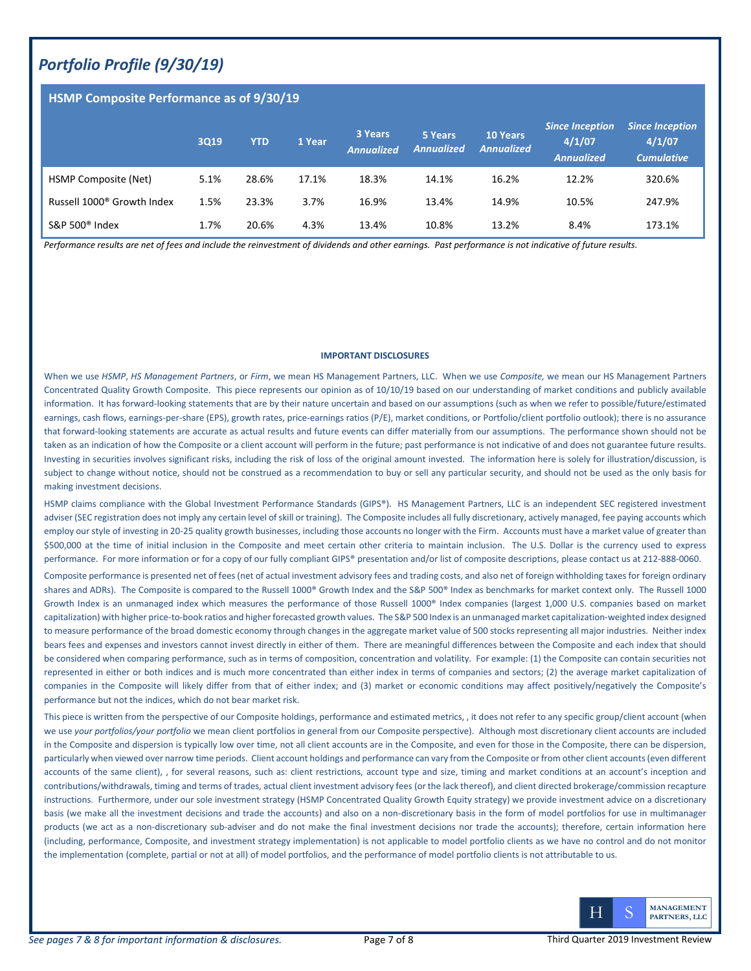## *Portfolio Profile (9/30/19)*

#### **HSMP Composite Performance as of 9/30/19**

|                                        | 3Q19 | <b>YTD</b> | 1 Year | 3 Years<br><b>Annualized</b> | 5 Years<br><b>Annualized</b> | <b>10 Years</b><br><b>Annualized</b> | <b>Since Inception</b><br>4/1/07<br><b>Annualized</b> | <b>Since Inception</b><br>4/1/07<br><b>Cumulative</b> |
|----------------------------------------|------|------------|--------|------------------------------|------------------------------|--------------------------------------|-------------------------------------------------------|-------------------------------------------------------|
| HSMP Composite (Net)                   | 5.1% | 28.6%      | 17.1%  | 18.3%                        | 14.1%                        | 16.2%                                | 12.2%                                                 | 320.6%                                                |
| Russell 1000 <sup>®</sup> Growth Index | 1.5% | 23.3%      | 3.7%   | 16.9%                        | 13.4%                        | 14.9%                                | 10.5%                                                 | 247.9%                                                |
| S&P 500 $^{\circ}$ Index               | 1.7% | 20.6%      | 4.3%   | 13.4%                        | 10.8%                        | 13.2%                                | 8.4%                                                  | 173.1%                                                |

*Performance results are net of fees and include the reinvestment of dividends and other earnings. Past performance is not indicative of future results.* 

#### **IMPORTANT DISCLOSURES**

When we use *HSMP*, *HS Management Partners*, or *Firm*, we mean HS Management Partners, LLC. When we use *Composite,* we mean our HS Management Partners Concentrated Quality Growth Composite. This piece represents our opinion as of 10/10/19 based on our understanding of market conditions and publicly available information. It has forward-looking statements that are by their nature uncertain and based on our assumptions (such as when we refer to possible/future/estimated earnings, cash flows, earnings-per-share (EPS), growth rates, price-earnings ratios (P/E), market conditions, or Portfolio/client portfolio outlook); there is no assurance that forward-looking statements are accurate as actual results and future events can differ materially from our assumptions. The performance shown should not be taken as an indication of how the Composite or a client account will perform in the future; past performance is not indicative of and does not guarantee future results. Investing in securities involves significant risks, including the risk of loss of the original amount invested. The information here is solely for illustration/discussion, is subject to change without notice, should not be construed as a recommendation to buy or sell any particular security, and should not be used as the only basis for making investment decisions.

HSMP claims compliance with the Global Investment Performance Standards (GIPS®). HS Management Partners, LLC is an independent SEC registered investment adviser (SEC registration does not imply any certain level of skill or training). The Composite includes all fully discretionary, actively managed, fee paying accounts which employ our style of investing in 20-25 quality growth businesses, including those accounts no longer with the Firm. Accounts must have a market value of greater than \$500,000 at the time of initial inclusion in the Composite and meet certain other criteria to maintain inclusion. The U.S. Dollar is the currency used to express performance. For more information or for a copy of our fully compliant GIPS® presentation and/or list of composite descriptions, please contact us at 212-888-0060.

Composite performance is presented net of fees (net of actual investment advisory fees and trading costs, and also net of foreign withholding taxes for foreign ordinary shares and ADRs). The Composite is compared to the Russell 1000<sup>®</sup> Growth Index and the S&P 500<sup>®</sup> Index as benchmarks for market context only. The Russell 1000 Growth Index is an unmanaged index which measures the performance of those Russell 1000® Index companies (largest 1,000 U.S. companies based on market capitalization) with higher price-to-book ratios and higher forecasted growth values. The S&P 500 Index is an unmanaged market capitalization-weighted index designed to measure performance of the broad domestic economy through changes in the aggregate market value of 500 stocks representing all major industries. Neither index bears fees and expenses and investors cannot invest directly in either of them. There are meaningful differences between the Composite and each index that should be considered when comparing performance, such as in terms of composition, concentration and volatility. For example: (1) the Composite can contain securities not represented in either or both indices and is much more concentrated than either index in terms of companies and sectors; (2) the average market capitalization of companies in the Composite will likely differ from that of either index; and (3) market or economic conditions may affect positively/negatively the Composite's performance but not the indices, which do not bear market risk.

This piece is written from the perspective of our Composite holdings, performance and estimated metrics, , it does not refer to any specific group/client account (when we use *your portfolios/your portfolio* we mean client portfolios in general from our Composite perspective). Although most discretionary client accounts are included in the Composite and dispersion is typically low over time, not all client accounts are in the Composite, and even for those in the Composite, there can be dispersion, particularly when viewed over narrow time periods. Client account holdings and performance can vary from the Composite or from other client accounts (even different accounts of the same client), , for several reasons, such as: client restrictions, account type and size, timing and market conditions at an account's inception and contributions/withdrawals, timing and terms of trades, actual client investment advisory fees (or the lack thereof), and client directed brokerage/commission recapture instructions. Furthermore, under our sole investment strategy (HSMP Concentrated Quality Growth Equity strategy) we provide investment advice on a discretionary basis (we make all the investment decisions and trade the accounts) and also on a non-discretionary basis in the form of model portfolios for use in multimanager products (we act as a non-discretionary sub-adviser and do not make the final investment decisions nor trade the accounts); therefore, certain information here (including, performance, Composite, and investment strategy implementation) is not applicable to model portfolio clients as we have no control and do not monitor the implementation (complete, partial or not at all) of model portfolios, and the performance of model portfolio clients is not attributable to us.